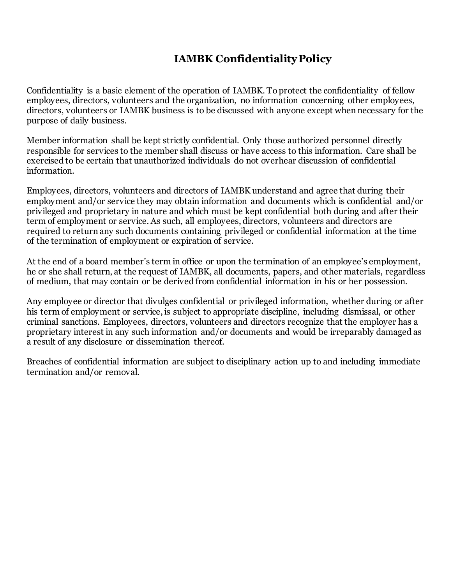## **IAMBK Confidentiality Policy**

Confidentiality is a basic element of the operation of IAMBK. To protect the confidentiality of fellow employees, directors, volunteers and the organization, no information concerning other employees, directors, volunteers or IAMBK business is to be discussed with anyone except when necessary for the purpose of daily business.

Member information shall be kept strictly confidential. Only those authorized personnel directly responsible for services to the member shall discuss or have access to this information. Care shall be exercised to be certain that unauthorized individuals do not overhear discussion of confidential information.

Employees, directors, volunteers and directors of IAMBK understand and agree that during their employment and/or service they may obtain information and documents which is confidential and/or privileged and proprietary in nature and which must be kept confidential both during and after their term of employment or service. As such, all employees, directors, volunteers and directors are required to return any such documents containing privileged or confidential information at the time of the termination of employment or expiration of service.

At the end of a board member's term in office or upon the termination of an employee's employment, he or she shall return, at the request of IAMBK, all documents, papers, and other materials, regardless of medium, that may contain or be derived from confidential information in his or her possession.

Any employee or director that divulges confidential or privileged information, whether during or after his term of employment or service, is subject to appropriate discipline, including dismissal, or other criminal sanctions. Employees, directors, volunteers and directors recognize that the employer has a proprietary interest in any such information and/or documents and would be irreparably damaged as a result of any disclosure or dissemination thereof.

Breaches of confidential information are subject to disciplinary action up to and including immediate termination and/or removal.